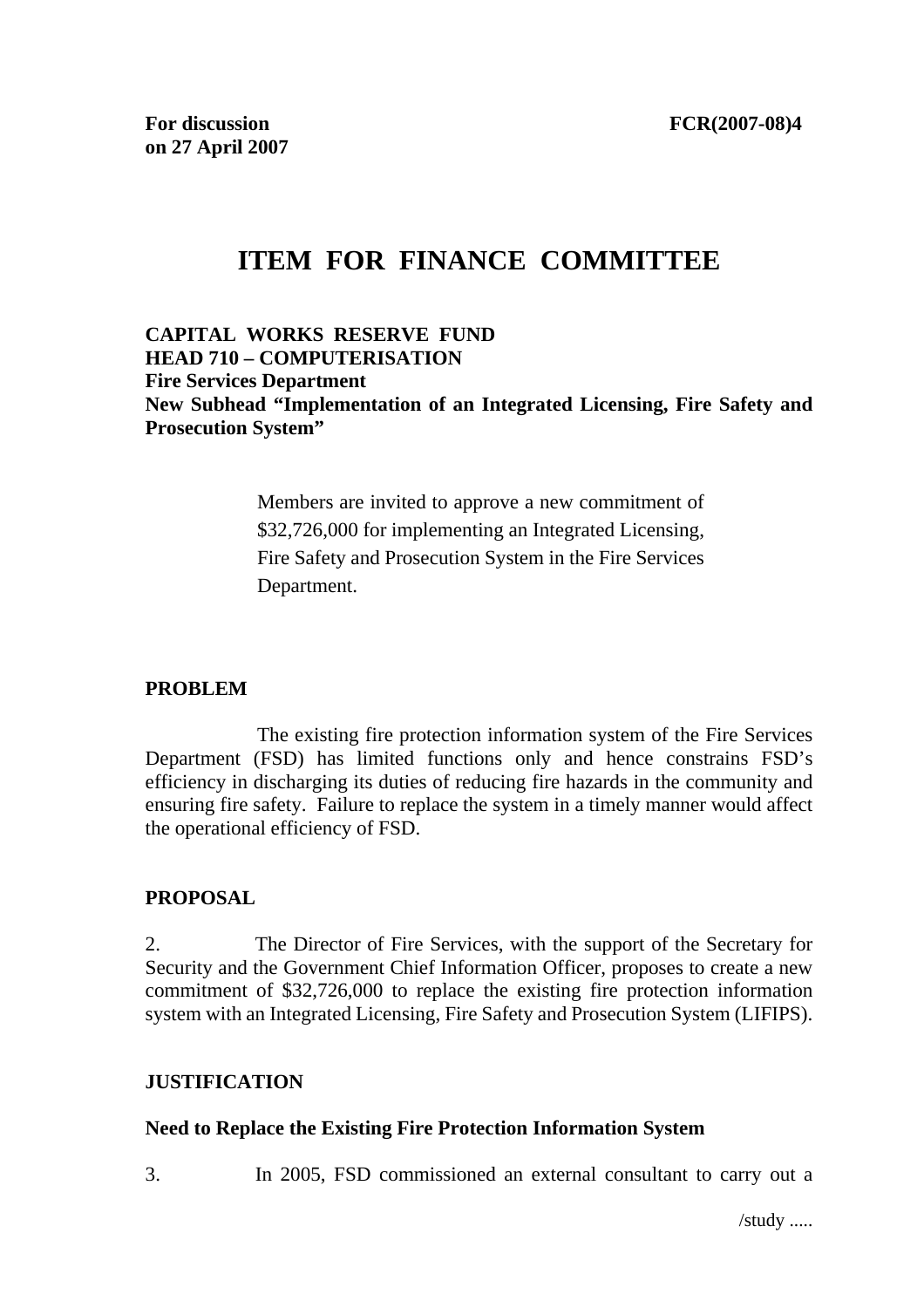# **ITEM FOR FINANCE COMMITTEE**

#### **CAPITAL WORKS RESERVE FUND HEAD 710 – COMPUTERISATION Fire Services Department New Subhead "Implementation of an Integrated Licensing, Fire Safety and Prosecution System"**

Members are invited to approve a new commitment of \$32,726,000 for implementing an Integrated Licensing, Fire Safety and Prosecution System in the Fire Services Department.

### **PROBLEM**

 The existing fire protection information system of the Fire Services Department (FSD) has limited functions only and hence constrains FSD's efficiency in discharging its duties of reducing fire hazards in the community and ensuring fire safety. Failure to replace the system in a timely manner would affect the operational efficiency of FSD.

#### **PROPOSAL**

2. The Director of Fire Services, with the support of the Secretary for Security and the Government Chief Information Officer, proposes to create a new commitment of \$32,726,000 to replace the existing fire protection information system with an Integrated Licensing, Fire Safety and Prosecution System (LIFIPS).

### **JUSTIFICATION**

#### **Need to Replace the Existing Fire Protection Information System**

3. In 2005, FSD commissioned an external consultant to carry out a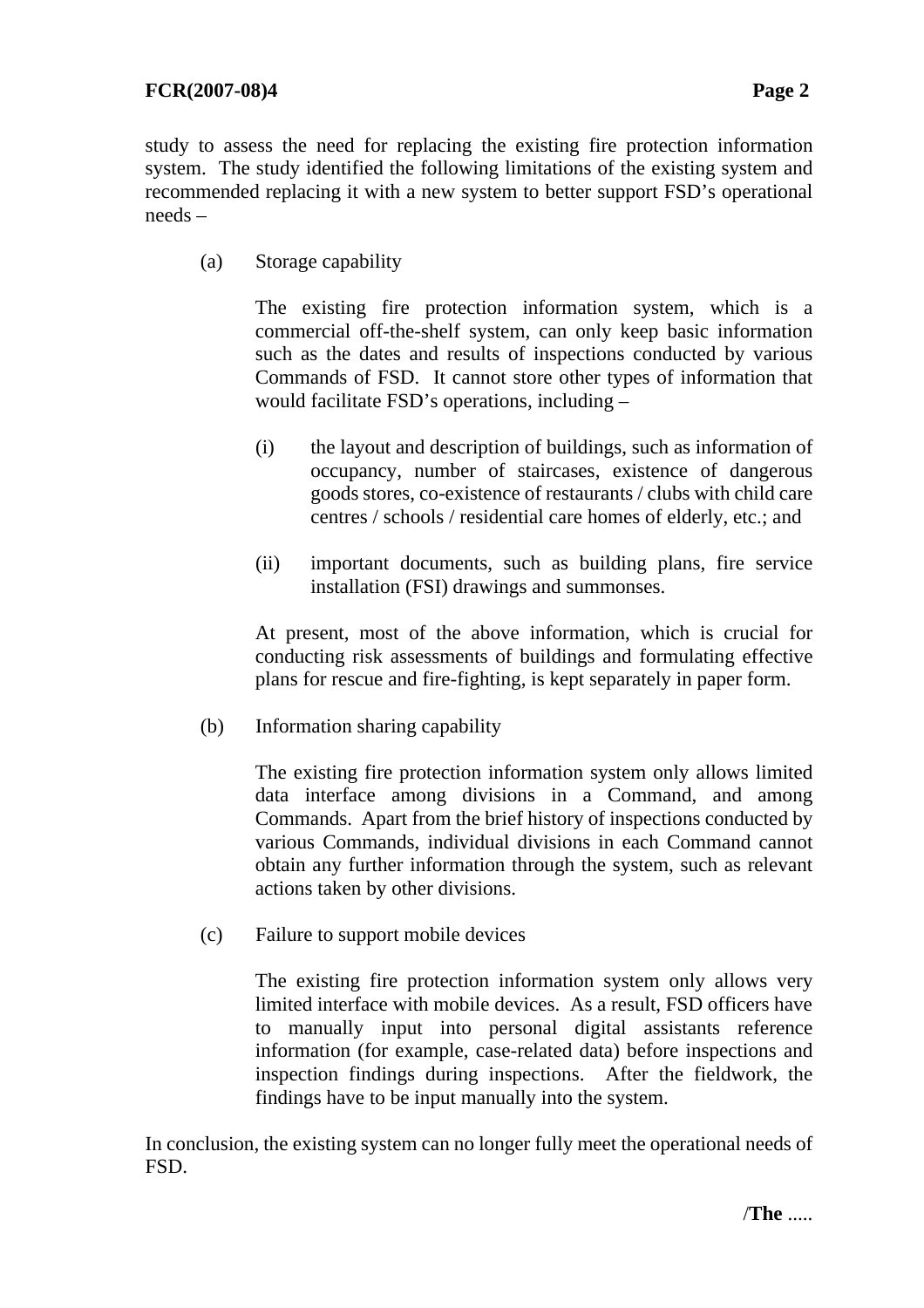study to assess the need for replacing the existing fire protection information system. The study identified the following limitations of the existing system and recommended replacing it with a new system to better support FSD's operational needs –

(a) Storage capability

The existing fire protection information system, which is a commercial off-the-shelf system, can only keep basic information such as the dates and results of inspections conducted by various Commands of FSD. It cannot store other types of information that would facilitate FSD's operations, including –

- (i) the layout and description of buildings, such as information of occupancy, number of staircases, existence of dangerous goods stores, co-existence of restaurants / clubs with child care centres / schools / residential care homes of elderly, etc.; and
- (ii) important documents, such as building plans, fire service installation (FSI) drawings and summonses.

At present, most of the above information, which is crucial for conducting risk assessments of buildings and formulating effective plans for rescue and fire-fighting, is kept separately in paper form.

(b) Information sharing capability

The existing fire protection information system only allows limited data interface among divisions in a Command, and among Commands. Apart from the brief history of inspections conducted by various Commands, individual divisions in each Command cannot obtain any further information through the system, such as relevant actions taken by other divisions.

(c) Failure to support mobile devices

The existing fire protection information system only allows very limited interface with mobile devices. As a result, FSD officers have to manually input into personal digital assistants reference information (for example, case-related data) before inspections and inspection findings during inspections. After the fieldwork, the findings have to be input manually into the system.

In conclusion, the existing system can no longer fully meet the operational needs of FSD.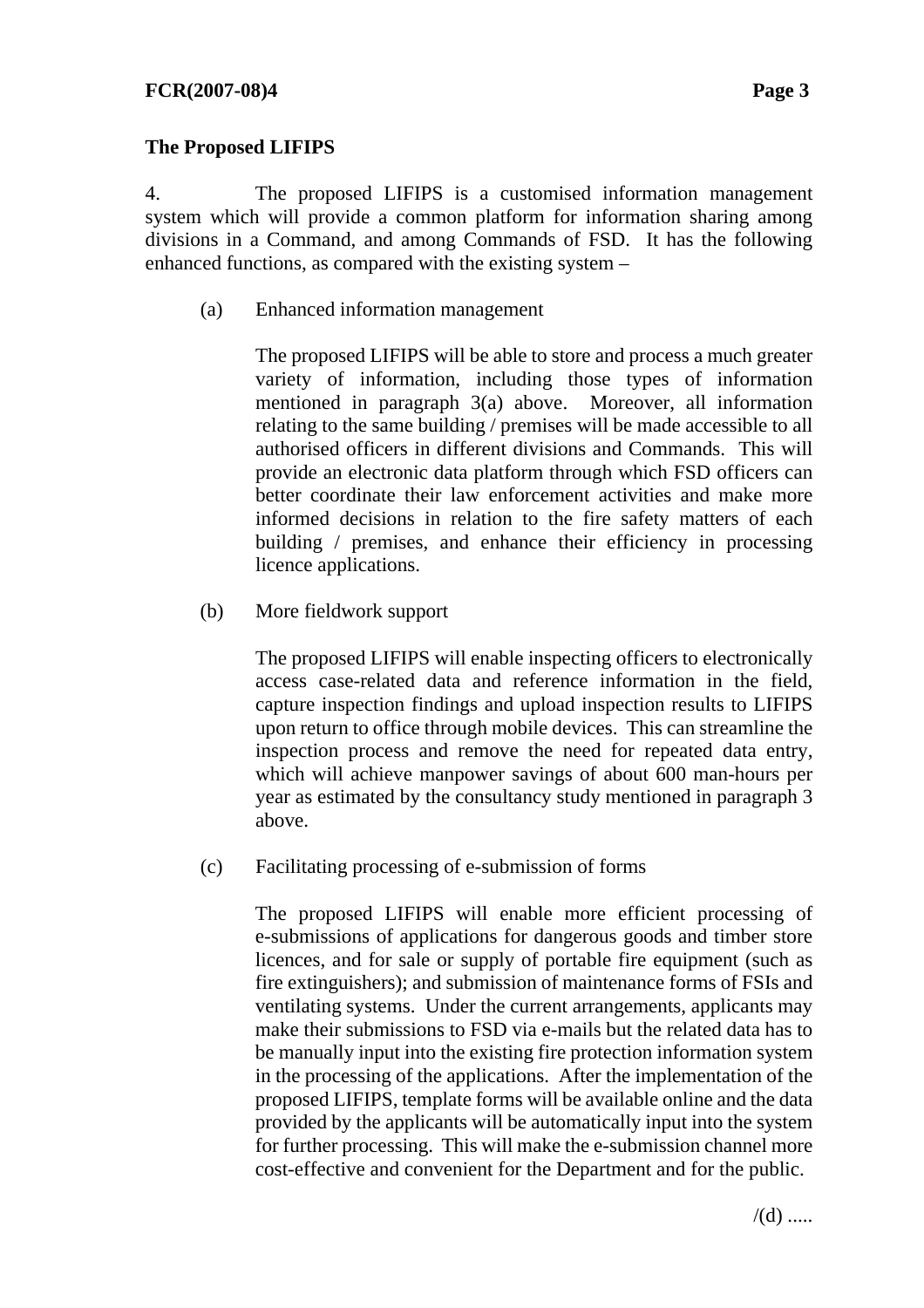### **The Proposed LIFIPS**

4. The proposed LIFIPS is a customised information management system which will provide a common platform for information sharing among divisions in a Command, and among Commands of FSD. It has the following enhanced functions, as compared with the existing system –

(a) Enhanced information management

The proposed LIFIPS will be able to store and process a much greater variety of information, including those types of information mentioned in paragraph 3(a) above. Moreover, all information relating to the same building / premises will be made accessible to all authorised officers in different divisions and Commands. This will provide an electronic data platform through which FSD officers can better coordinate their law enforcement activities and make more informed decisions in relation to the fire safety matters of each building / premises, and enhance their efficiency in processing licence applications.

(b) More fieldwork support

The proposed LIFIPS will enable inspecting officers to electronically access case-related data and reference information in the field, capture inspection findings and upload inspection results to LIFIPS upon return to office through mobile devices. This can streamline the inspection process and remove the need for repeated data entry, which will achieve manpower savings of about 600 man-hours per year as estimated by the consultancy study mentioned in paragraph 3 above.

(c) Facilitating processing of e-submission of forms

The proposed LIFIPS will enable more efficient processing of e-submissions of applications for dangerous goods and timber store licences, and for sale or supply of portable fire equipment (such as fire extinguishers); and submission of maintenance forms of FSIs and ventilating systems. Under the current arrangements, applicants may make their submissions to FSD via e-mails but the related data has to be manually input into the existing fire protection information system in the processing of the applications. After the implementation of the proposed LIFIPS, template forms will be available online and the data provided by the applicants will be automatically input into the system for further processing. This will make the e-submission channel more cost-effective and convenient for the Department and for the public.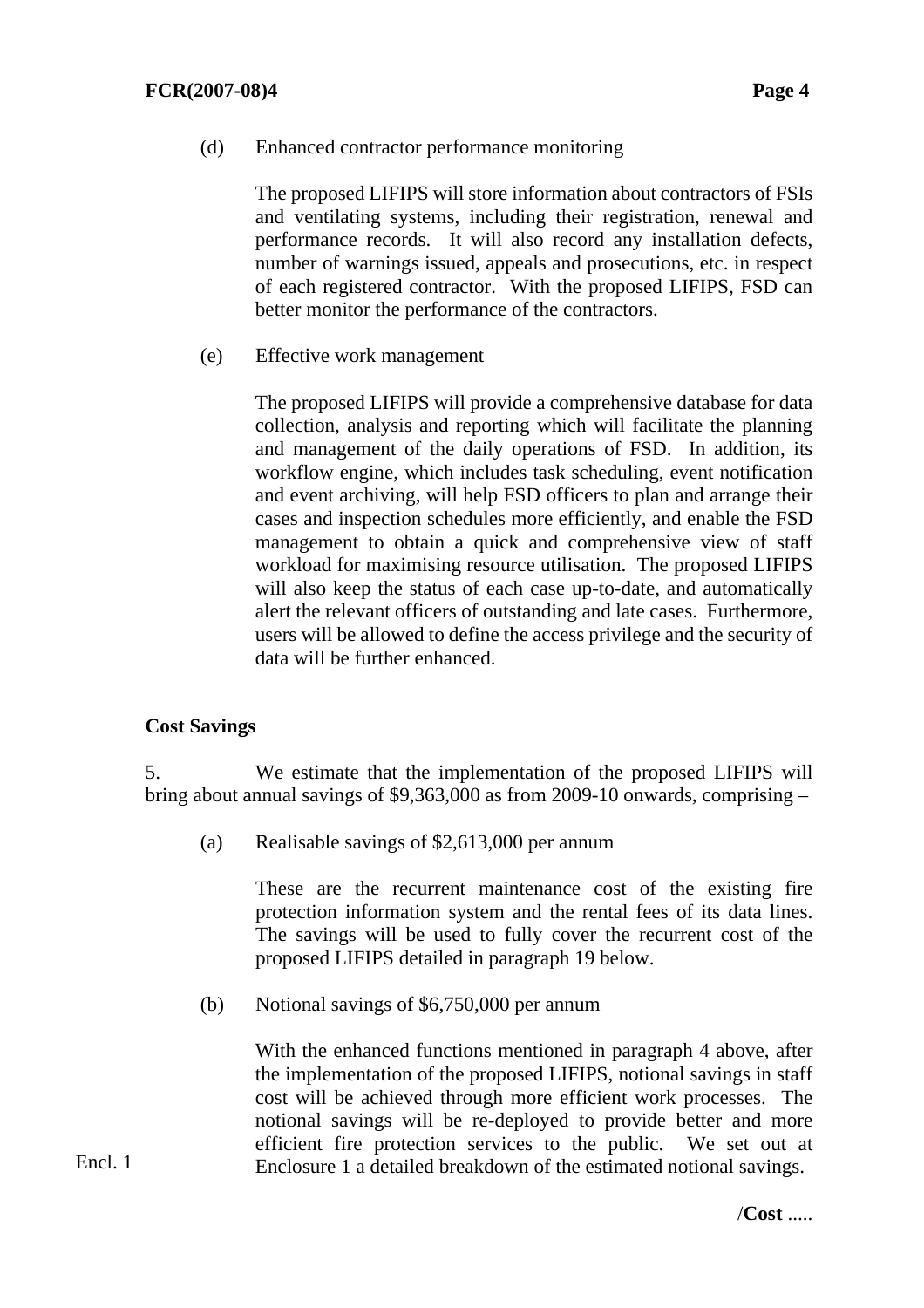(d) Enhanced contractor performance monitoring

The proposed LIFIPS will store information about contractors of FSIs and ventilating systems, including their registration, renewal and performance records. It will also record any installation defects, number of warnings issued, appeals and prosecutions, etc. in respect of each registered contractor. With the proposed LIFIPS, FSD can better monitor the performance of the contractors.

(e) Effective work management

The proposed LIFIPS will provide a comprehensive database for data collection, analysis and reporting which will facilitate the planning and management of the daily operations of FSD. In addition, its workflow engine, which includes task scheduling, event notification and event archiving, will help FSD officers to plan and arrange their cases and inspection schedules more efficiently, and enable the FSD management to obtain a quick and comprehensive view of staff workload for maximising resource utilisation. The proposed LIFIPS will also keep the status of each case up-to-date, and automatically alert the relevant officers of outstanding and late cases. Furthermore, users will be allowed to define the access privilege and the security of data will be further enhanced.

#### **Cost Savings**

5. We estimate that the implementation of the proposed LIFIPS will bring about annual savings of \$9,363,000 as from 2009-10 onwards, comprising –

(a) Realisable savings of \$2,613,000 per annum

These are the recurrent maintenance cost of the existing fire protection information system and the rental fees of its data lines. The savings will be used to fully cover the recurrent cost of the proposed LIFIPS detailed in paragraph 19 below.

(b) Notional savings of \$6,750,000 per annum

With the enhanced functions mentioned in paragraph 4 above, after the implementation of the proposed LIFIPS, notional savings in staff cost will be achieved through more efficient work processes. The notional savings will be re-deployed to provide better and more efficient fire protection services to the public. We set out at Enclosure 1 a detailed breakdown of the estimated notional savings.

Encl. 1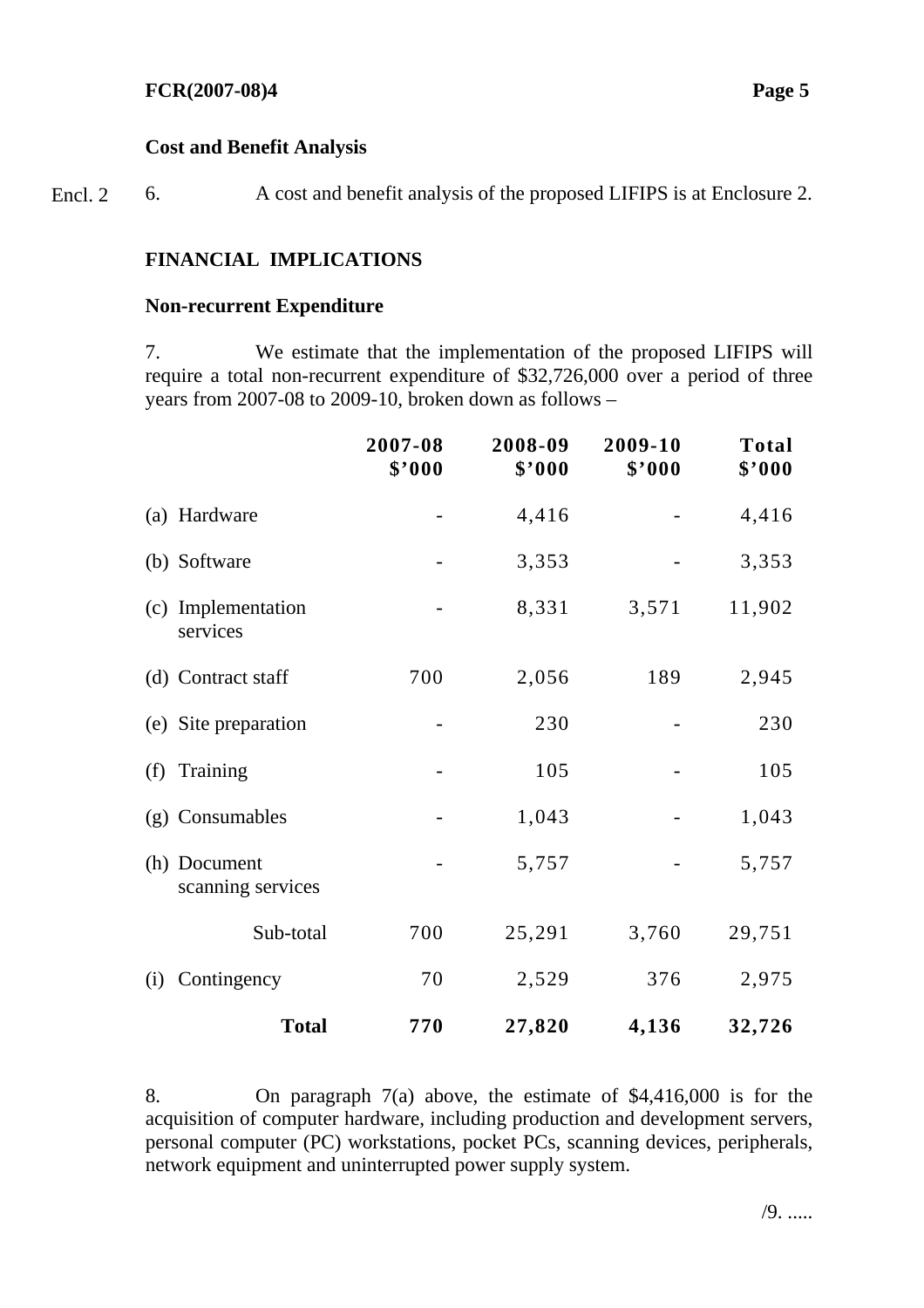#### **Cost and Benefit Analysis**

6. A cost and benefit analysis of the proposed LIFIPS is at Enclosure 2. Encl. 2

### **FINANCIAL IMPLICATIONS**

#### **Non-recurrent Expenditure**

7. We estimate that the implementation of the proposed LIFIPS will require a total non-recurrent expenditure of \$32,726,000 over a period of three years from 2007-08 to 2009-10, broken down as follows –

|     |                                   | 2007-08<br>\$'000 | 2008-09<br>\$'000 | 2009-10<br>\$'000 | <b>Total</b><br>\$'000 |
|-----|-----------------------------------|-------------------|-------------------|-------------------|------------------------|
|     | (a) Hardware                      |                   | 4,416             |                   | 4,416                  |
|     | (b) Software                      |                   | 3,353             |                   | 3,353                  |
| (c) | Implementation<br>services        |                   | 8,331             | 3,571             | 11,902                 |
|     | (d) Contract staff                | 700               | 2,056             | 189               | 2,945                  |
|     | (e) Site preparation              |                   | 230               |                   | 230                    |
|     | (f) Training                      |                   | 105               |                   | 105                    |
|     | (g) Consumables                   |                   | 1,043             |                   | 1,043                  |
|     | (h) Document<br>scanning services |                   | 5,757             |                   | 5,757                  |
|     | Sub-total                         | 700               | 25,291            | 3,760             | 29,751                 |
| (i) | Contingency                       | 70                | 2,529             | 376               | 2,975                  |
|     | <b>Total</b>                      | 770               | 27,820            | 4,136             | 32,726                 |

8. On paragraph 7(a) above, the estimate of \$4,416,000 is for the acquisition of computer hardware, including production and development servers, personal computer (PC) workstations, pocket PCs, scanning devices, peripherals, network equipment and uninterrupted power supply system.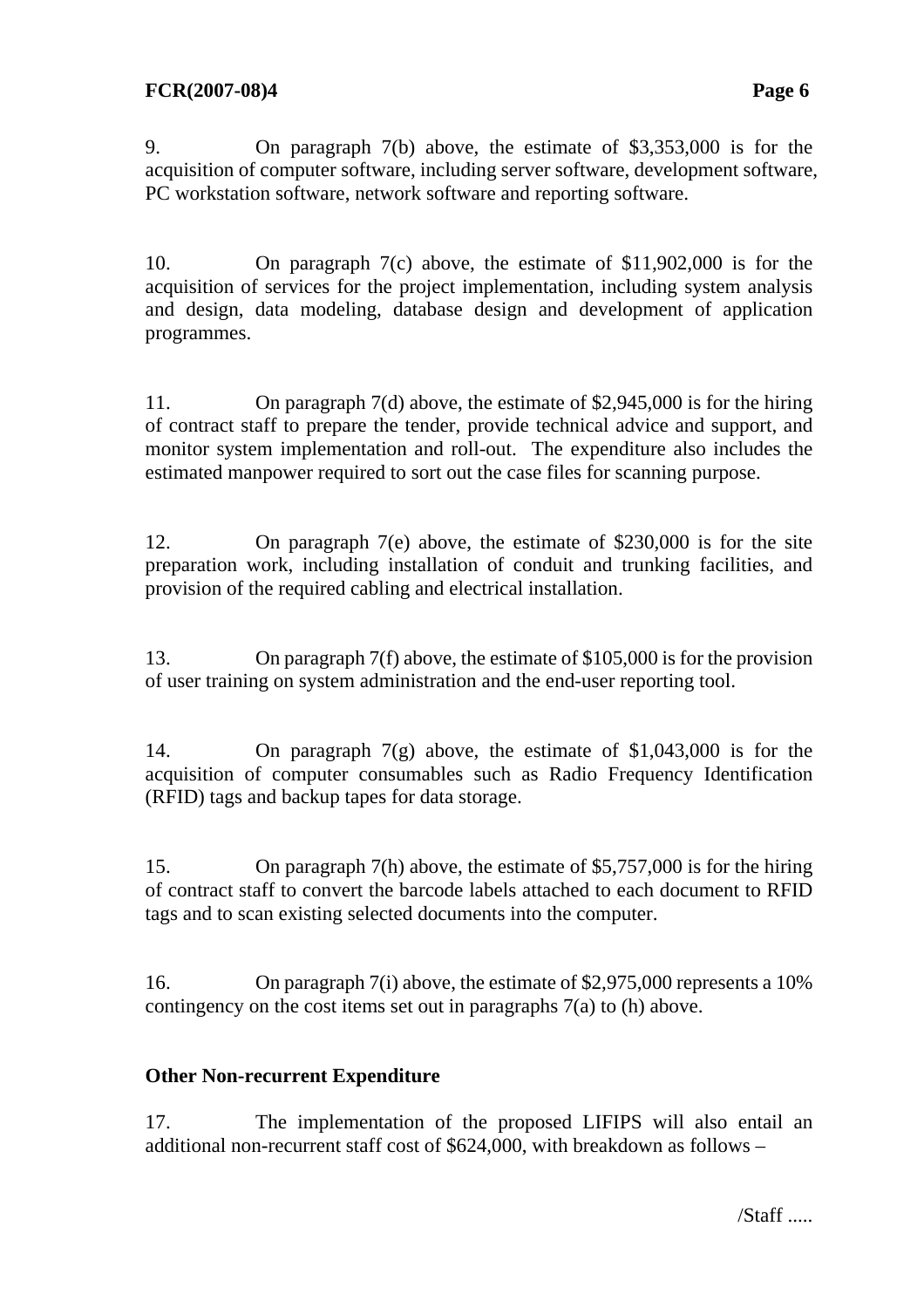9. On paragraph 7(b) above, the estimate of \$3,353,000 is for the acquisition of computer software, including server software, development software, PC workstation software, network software and reporting software.

10. On paragraph 7(c) above, the estimate of \$11,902,000 is for the acquisition of services for the project implementation, including system analysis and design, data modeling, database design and development of application programmes.

11. On paragraph 7(d) above, the estimate of \$2,945,000 is for the hiring of contract staff to prepare the tender, provide technical advice and support, and monitor system implementation and roll-out. The expenditure also includes the estimated manpower required to sort out the case files for scanning purpose.

12. On paragraph 7(e) above, the estimate of \$230,000 is for the site preparation work, including installation of conduit and trunking facilities, and provision of the required cabling and electrical installation.

13. On paragraph 7(f) above, the estimate of \$105,000 is for the provision of user training on system administration and the end-user reporting tool.

14. On paragraph 7(g) above, the estimate of \$1,043,000 is for the acquisition of computer consumables such as Radio Frequency Identification (RFID) tags and backup tapes for data storage.

15. On paragraph 7(h) above, the estimate of \$5,757,000 is for the hiring of contract staff to convert the barcode labels attached to each document to RFID tags and to scan existing selected documents into the computer.

16. On paragraph 7(i) above, the estimate of \$2,975,000 represents a 10% contingency on the cost items set out in paragraphs 7(a) to (h) above.

## **Other Non-recurrent Expenditure**

17. The implementation of the proposed LIFIPS will also entail an additional non-recurrent staff cost of \$624,000, with breakdown as follows –

/Staff .....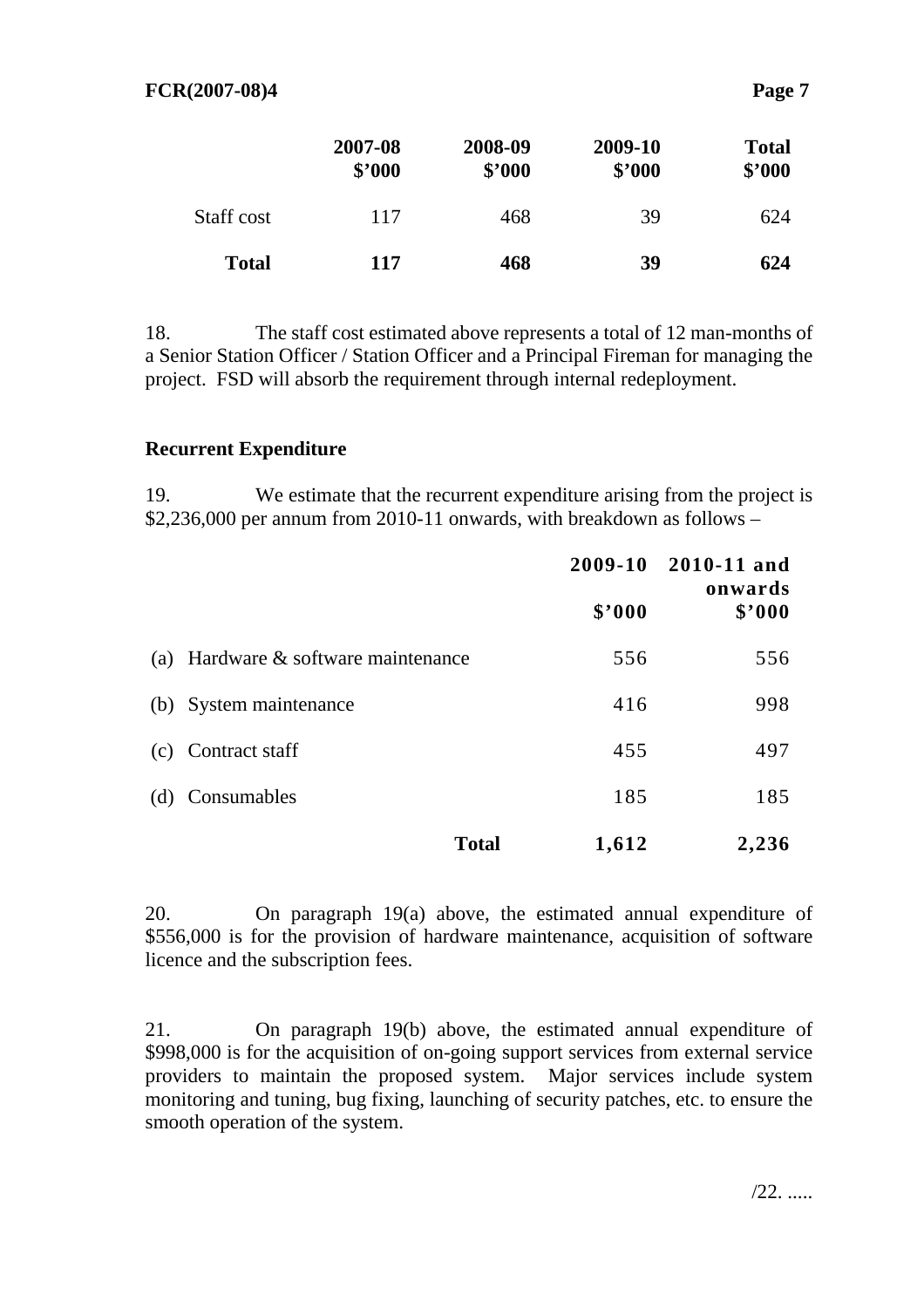| . .<br>r. |  |
|-----------|--|
|           |  |

|              | 2007-08<br>\$'000 | 2008-09<br>\$'000 | 2009-10<br>\$2000 | <b>Total</b><br>\$'000 |
|--------------|-------------------|-------------------|-------------------|------------------------|
| Staff cost   | 117               | 468               | 39                | 624                    |
| <b>Total</b> | 117               | 468               | 39                | 624                    |

18. The staff cost estimated above represents a total of 12 man-months of a Senior Station Officer / Station Officer and a Principal Fireman for managing the project. FSD will absorb the requirement through internal redeployment.

#### **Recurrent Expenditure**

19. We estimate that the recurrent expenditure arising from the project is \$2,236,000 per annum from 2010-11 onwards, with breakdown as follows –

|                                     |        | 2009-10 2010-11 and<br>onwards<br>\$3000 |  |
|-------------------------------------|--------|------------------------------------------|--|
|                                     | \$'000 |                                          |  |
| (a) Hardware & software maintenance | 556    | 556                                      |  |
| (b) System maintenance              | 416    | 998                                      |  |
| (c) Contract staff                  | 455    | 497                                      |  |
| (d) Consumables                     | 185    | 185                                      |  |
| <b>Total</b>                        | 1,612  | 2,236                                    |  |

20. On paragraph 19(a) above, the estimated annual expenditure of \$556,000 is for the provision of hardware maintenance, acquisition of software licence and the subscription fees.

21. On paragraph 19(b) above, the estimated annual expenditure of \$998,000 is for the acquisition of on-going support services from external service providers to maintain the proposed system. Major services include system monitoring and tuning, bug fixing, launching of security patches, etc. to ensure the smooth operation of the system.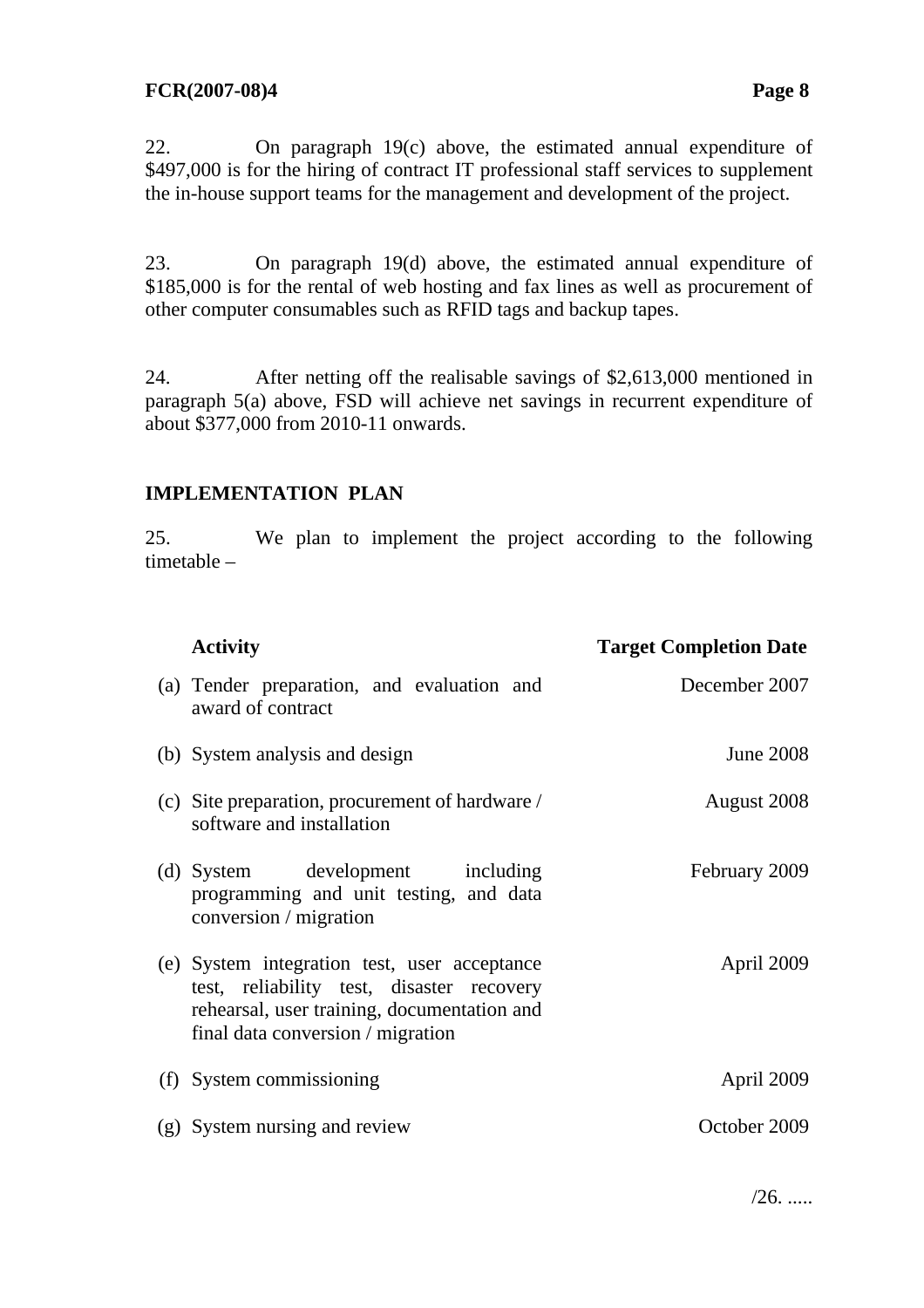#### **FCR(2007-08)4 Page 8**

22. On paragraph 19(c) above, the estimated annual expenditure of \$497,000 is for the hiring of contract IT professional staff services to supplement the in-house support teams for the management and development of the project.

23. On paragraph 19(d) above, the estimated annual expenditure of \$185,000 is for the rental of web hosting and fax lines as well as procurement of other computer consumables such as RFID tags and backup tapes.

24. After netting off the realisable savings of \$2,613,000 mentioned in paragraph 5(a) above, FSD will achieve net savings in recurrent expenditure of about \$377,000 from 2010-11 onwards.

#### **IMPLEMENTATION PLAN**

25. We plan to implement the project according to the following timetable –

| <b>Activity</b>                                                                                                                                                               | <b>Target Completion Date</b> |
|-------------------------------------------------------------------------------------------------------------------------------------------------------------------------------|-------------------------------|
| (a) Tender preparation, and evaluation and<br>award of contract                                                                                                               | December 2007                 |
| (b) System analysis and design                                                                                                                                                | <b>June 2008</b>              |
| (c) Site preparation, procurement of hardware /<br>software and installation                                                                                                  | August 2008                   |
| (d) System development including<br>programming and unit testing, and data<br>conversion / migration                                                                          | February 2009                 |
| (e) System integration test, user acceptance<br>test, reliability test, disaster recovery<br>rehearsal, user training, documentation and<br>final data conversion / migration | April 2009                    |
| (f) System commissioning                                                                                                                                                      | April 2009                    |
| (g) System nursing and review                                                                                                                                                 | October 2009                  |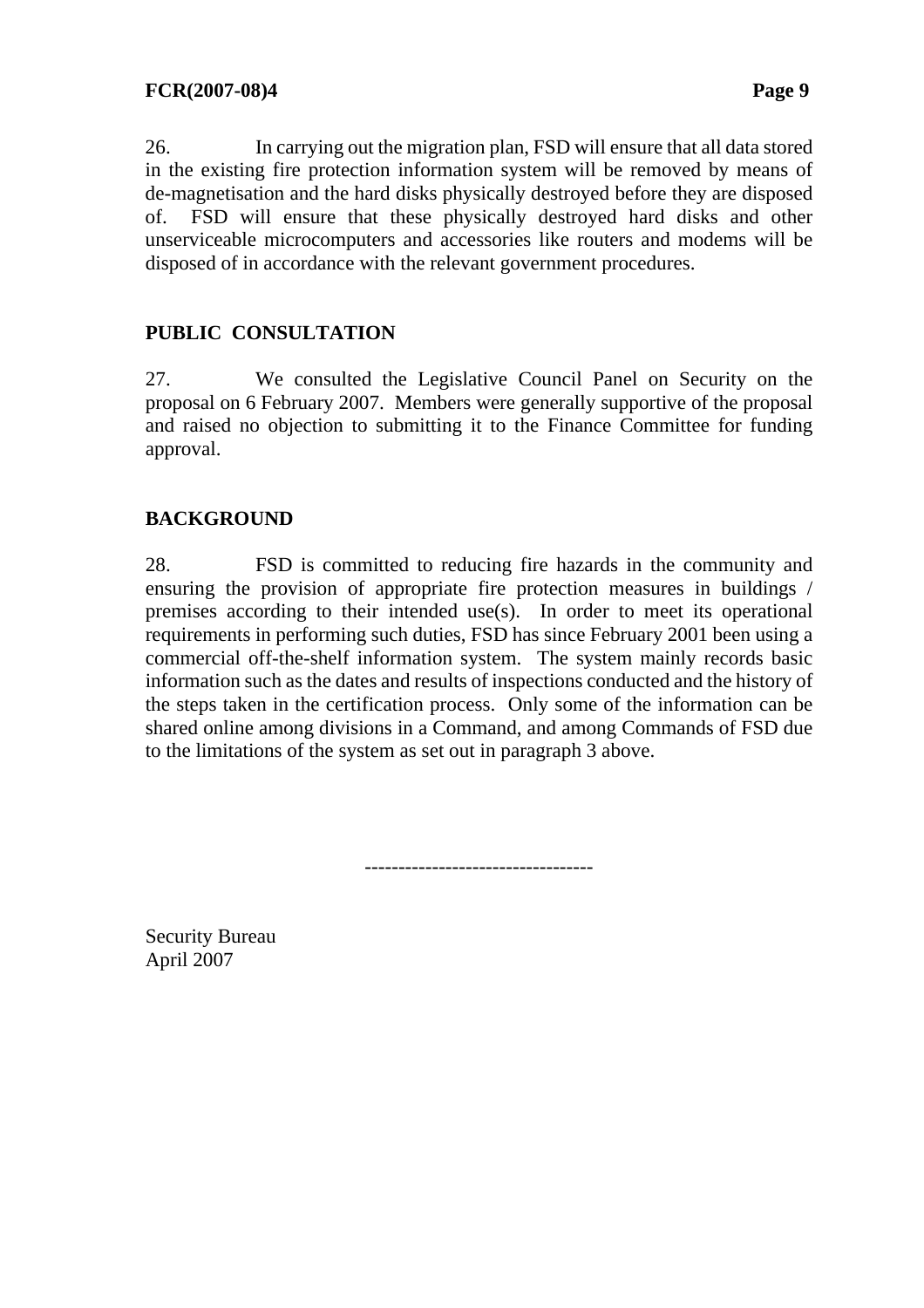26. In carrying out the migration plan, FSD will ensure that all data stored in the existing fire protection information system will be removed by means of de-magnetisation and the hard disks physically destroyed before they are disposed of. FSD will ensure that these physically destroyed hard disks and other unserviceable microcomputers and accessories like routers and modems will be disposed of in accordance with the relevant government procedures.

# **PUBLIC CONSULTATION**

27. We consulted the Legislative Council Panel on Security on the proposal on 6 February 2007. Members were generally supportive of the proposal and raised no objection to submitting it to the Finance Committee for funding approval.

## **BACKGROUND**

28. FSD is committed to reducing fire hazards in the community and ensuring the provision of appropriate fire protection measures in buildings / premises according to their intended use(s). In order to meet its operational requirements in performing such duties, FSD has since February 2001 been using a commercial off-the-shelf information system. The system mainly records basic information such as the dates and results of inspections conducted and the history of the steps taken in the certification process. Only some of the information can be shared online among divisions in a Command, and among Commands of FSD due to the limitations of the system as set out in paragraph 3 above.

----------------------------------

Security Bureau April 2007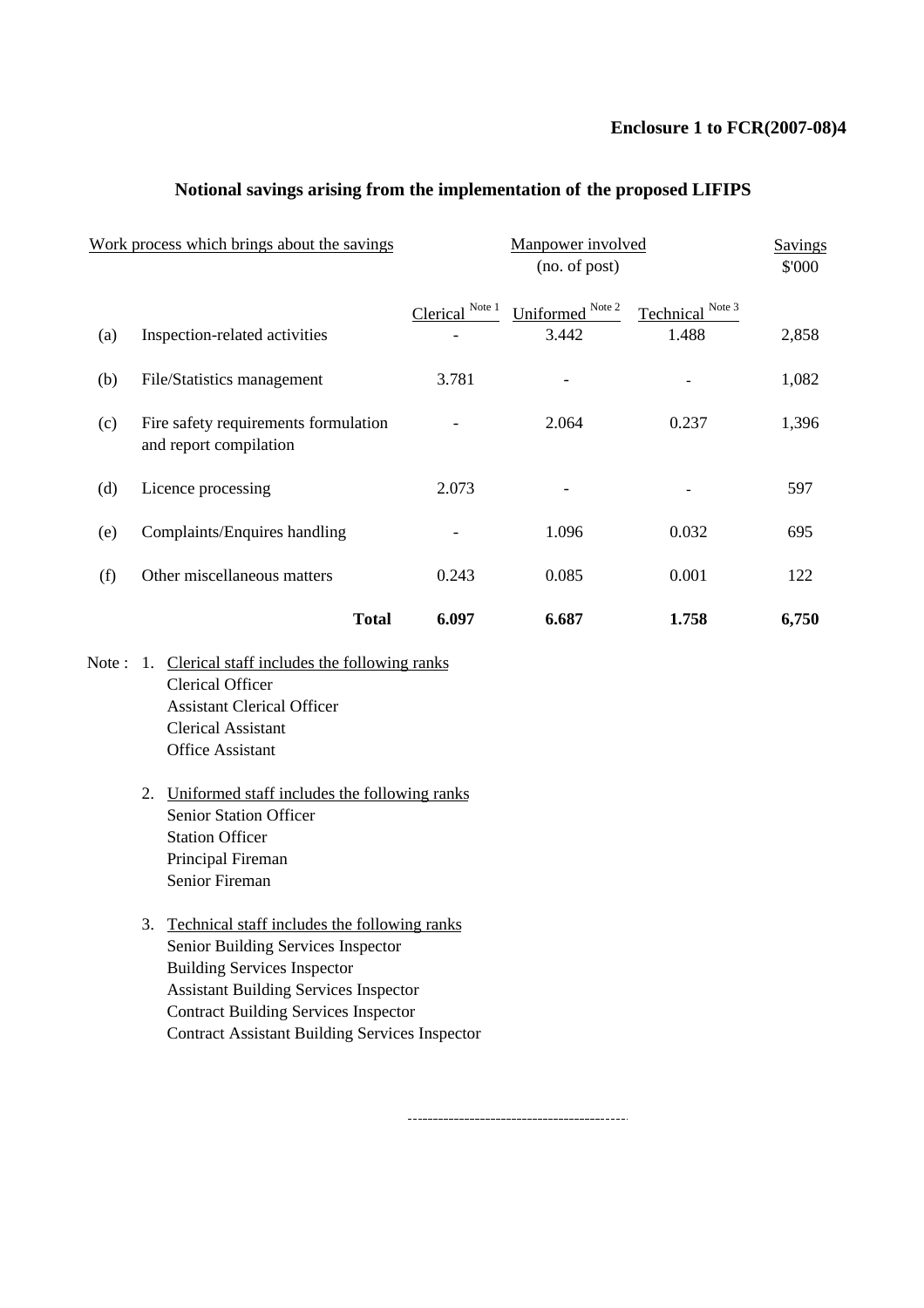#### **Enclosure 1 to FCR(2007-08)4**

| Work process which brings about the savings |                                                                |                 | <b>Savings</b><br>\$'000  |                           |       |
|---------------------------------------------|----------------------------------------------------------------|-----------------|---------------------------|---------------------------|-------|
| (a)                                         | Inspection-related activities                                  | Clerical Note 1 | Uniformed Note 2<br>3.442 | Technical Note 3<br>1.488 | 2,858 |
| (b)                                         | File/Statistics management                                     | 3.781           |                           |                           | 1,082 |
| (c)                                         | Fire safety requirements formulation<br>and report compilation |                 | 2.064                     | 0.237                     | 1,396 |
| (d)                                         | Licence processing                                             | 2.073           |                           |                           | 597   |
| (e)                                         | Complaints/Enquires handling                                   |                 | 1.096                     | 0.032                     | 695   |
| (f)                                         | Other miscellaneous matters                                    | 0.243           | 0.085                     | 0.001                     | 122   |
|                                             | <b>Total</b>                                                   | 6.097           | 6.687                     | 1.758                     | 6,750 |

#### **Notional savings arising from the implementation of the proposed LIFIPS**

- Note : 1. Clerical staff includes the following ranks Clerical Officer Assistant Clerical Officer Clerical Assistant Office Assistant
	- 2. Uniformed staff includes the following ranks Senior Station Officer Station Officer Principal Fireman Senior Fireman
	- 3. Technical staff includes the following ranks Senior Building Services Inspector Building Services Inspector Assistant Building Services Inspector Contract Building Services Inspector Contract Assistant Building Services Inspector